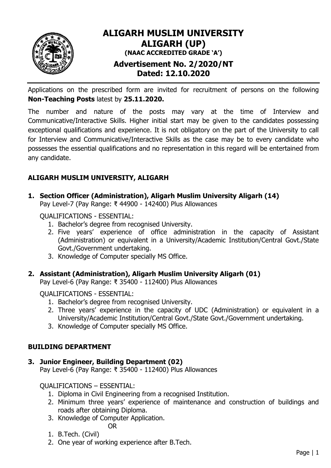

# **ALIGARH MUSLIM UNIVERSITY ALIGARH (UP) (NAAC ACCREDITED GRADE 'A') Advertisement No. 2/2020/NT Dated: 12.10.2020**

Applications on the prescribed form are invited for recruitment of persons on the following **Non-Teaching Posts** latest by **25.11.2020.**

The number and nature of the posts may vary at the time of Interview and Communicative/Interactive Skills. Higher initial start may be given to the candidates possessing exceptional qualifications and experience. It is not obligatory on the part of the University to call for Interview and Communicative/Interactive Skills as the case may be to every candidate who possesses the essential qualifications and no representation in this regard will be entertained from any candidate.

# **ALIGARH MUSLIM UNIVERSITY, ALIGARH**

**1. Section Officer (Administration), Aligarh Muslim University Aligarh (14)**

Pay Level-7 (Pay Range: ₹ 44900 - 142400) Plus Allowances

QUALIFICATIONS - ESSENTIAL:

- 1. Bachelor"s degree from recognised University.
- 2. Five years" experience of office administration in the capacity of Assistant (Administration) or equivalent in a University/Academic Institution/Central Govt./State Govt./Government undertaking.
- 3. Knowledge of Computer specially MS Office.

## **2. Assistant (Administration), Aligarh Muslim University Aligarh (01)**

Pay Level-6 (Pay Range: ₹ 35400 - 112400) Plus Allowances

QUALIFICATIONS - ESSENTIAL:

- 1. Bachelor"s degree from recognised University.
- 2. Three years" experience in the capacity of UDC (Administration) or equivalent in a University/Academic Institution/Central Govt./State Govt./Government undertaking.
- 3. Knowledge of Computer specially MS Office.

## **BUILDING DEPARTMENT**

## **3. Junior Engineer, Building Department (02)**

Pay Level-6 (Pay Range: ₹ 35400 - 112400) Plus Allowances

QUALIFICATIONS – ESSENTIAL:

- 1. Diploma in Civil Engineering from a recognised Institution.
- 2. Minimum three years' experience of maintenance and construction of buildings and roads after obtaining Diploma.
- 3. Knowledge of Computer Application.

## OR

- 1. B.Tech. (Civil)
- 2. One year of working experience after B.Tech.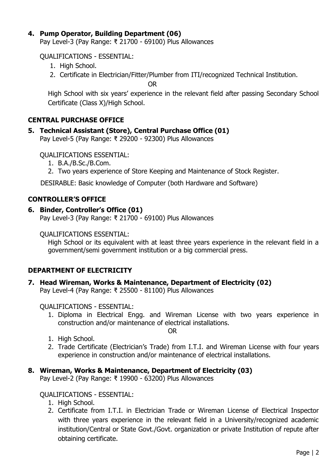## **4. Pump Operator, Building Department (06)**

Pay Level-3 (Pay Range: ₹ 21700 - 69100) Plus Allowances

QUALIFICATIONS - ESSENTIAL:

- 1. High School.
- 2. Certificate in Electrician/Fitter/Plumber from ITI/recognized Technical Institution.

OR

High School with six years" experience in the relevant field after passing Secondary School Certificate (Class X)/High School.

## **CENTRAL PURCHASE OFFICE**

## **5. Technical Assistant (Store), Central Purchase Office (01)**

Pay Level-5 (Pay Range: ₹ 29200 - 92300) Plus Allowances

QUALIFICATIONS ESSENTIAL:

- 1. B.A./B.Sc./B.Com.
- 2. Two years experience of Store Keeping and Maintenance of Stock Register.

DESIRABLE: Basic knowledge of Computer (both Hardware and Software)

### **CONTROLLER'S OFFICE**

### **6. Binder, Controller's Office (01)**

Pay Level-3 (Pay Range: ₹ 21700 - 69100) Plus Allowances

QUALIFICATIONS ESSENTIAL:

High School or its equivalent with at least three years experience in the relevant field in a government/semi government institution or a big commercial press.

## **DEPARTMENT OF ELECTRICITY**

**7. Head Wireman, Works & Maintenance, Department of Electricity (02)**

Pay Level-4 (Pay Range: ₹ 25500 - 81100) Plus Allowances

### QUALIFICATIONS - ESSENTIAL:

1. Diploma in Electrical Engg. and Wireman License with two years experience in construction and/or maintenance of electrical installations.

OR

- 1. High School.
- 2. Trade Certificate (Electrician's Trade) from I.T.I. and Wireman License with four years experience in construction and/or maintenance of electrical installations.

## **8. Wireman, Works & Maintenance, Department of Electricity (03)**

Pay Level-2 (Pay Range: ₹ 19900 - 63200) Plus Allowances

## QUALIFICATIONS - ESSENTIAL:

- 1. High School.
- 2. Certificate from I.T.I. in Electrician Trade or Wireman License of Electrical Inspector with three years experience in the relevant field in a University/recognized academic institution/Central or State Govt./Govt. organization or private Institution of repute after obtaining certificate.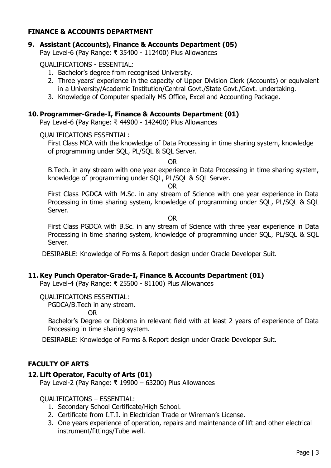## **FINANCE & ACCOUNTS DEPARTMENT**

## **9. Assistant (Accounts), Finance & Accounts Department (05)**

Pay Level-6 (Pay Range: ₹ 35400 - 112400) Plus Allowances

QUALIFICATIONS - ESSENTIAL:

- 1. Bachelor"s degree from recognised University.
- 2. Three years' experience in the capacity of Upper Division Clerk (Accounts) or equivalent in a University/Academic Institution/Central Govt./State Govt./Govt. undertaking.
- 3. Knowledge of Computer specially MS Office, Excel and Accounting Package.

### **10. Programmer-Grade-I, Finance & Accounts Department (01)**

Pay Level-6 (Pay Range: ₹ 44900 - 142400) Plus Allowances

#### QUALIFICATIONS ESSENTIAL:

First Class MCA with the knowledge of Data Processing in time sharing system, knowledge of programming under SQL, PL/SQL & SQL Server.

OR

B.Tech. in any stream with one year experience in Data Processing in time sharing system, knowledge of programming under SQL, PL/SQL & SQL Server.

OR

First Class PGDCA with M.Sc. in any stream of Science with one year experience in Data Processing in time sharing system, knowledge of programming under SQL, PL/SQL & SQL Server.

OR

First Class PGDCA with B.Sc. in any stream of Science with three year experience in Data Processing in time sharing system, knowledge of programming under SQL, PL/SQL & SQL Server.

DESIRABLE: Knowledge of Forms & Report design under Oracle Developer Suit.

### **11. Key Punch Operator-Grade-I, Finance & Accounts Department (01)**

Pay Level-4 (Pay Range: ₹ 25500 - 81100) Plus Allowances

#### QUALIFICATIONS ESSENTIAL:

PGDCA/B.Tech in any stream.

OR

Bachelor"s Degree or Diploma in relevant field with at least 2 years of experience of Data Processing in time sharing system.

DESIRABLE: Knowledge of Forms & Report design under Oracle Developer Suit.

### **FACULTY OF ARTS**

### **12. Lift Operator, Faculty of Arts (01)**

Pay Level-2 (Pay Range: ₹ 19900 – 63200) Plus Allowances

### QUALIFICATIONS – ESSENTIAL:

- 1. Secondary School Certificate/High School.
- 2. Certificate from I.T.I. in Electrician Trade or Wireman's License.
- 3. One years experience of operation, repairs and maintenance of lift and other electrical instrument/fittings/Tube well.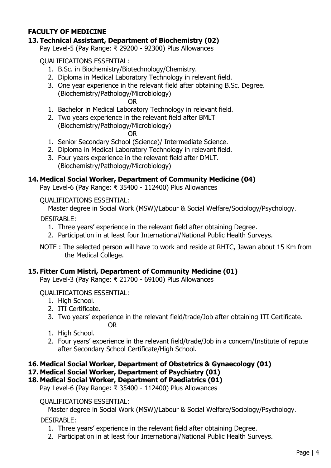## **FACULTY OF MEDICINE**

## **13. Technical Assistant, Department of Biochemistry (02)**

Pay Level-5 (Pay Range: ₹ 29200 - 92300) Plus Allowances

QUALIFICATIONS ESSENTIAL:

- 1. B.Sc. in Biochemistry/Biotechnology/Chemistry.
- 2. Diploma in Medical Laboratory Technology in relevant field.
- 3. One year experience in the relevant field after obtaining B.Sc. Degree. (Biochemistry/Pathology/Microbiology)

OR

- 1. Bachelor in Medical Laboratory Technology in relevant field.
- 2. Two years experience in the relevant field after BMLT (Biochemistry/Pathology/Microbiology)

OR

- 1. Senior Secondary School (Science)/ Intermediate Science.
- 2. Diploma in Medical Laboratory Technology in relevant field.
- 3. Four years experience in the relevant field after DMLT. (Biochemistry/Pathology/Microbiology)

### **14. Medical Social Worker, Department of Community Medicine (04)**

Pay Level-6 (Pay Range: ₹ 35400 - 112400) Plus Allowances

QUALIFICATIONS ESSENTIAL:

Master degree in Social Work (MSW)/Labour & Social Welfare/Sociology/Psychology.

DESIRABLE:

- 1. Three years" experience in the relevant field after obtaining Degree.
- 2. Participation in at least four International/National Public Health Surveys.

NOTE : The selected person will have to work and reside at RHTC, Jawan about 15 Km from the Medical College.

### **15. Fitter Cum Mistri, Department of Community Medicine (01)**

Pay Level-3 (Pay Range: ₹ 21700 - 69100) Plus Allowances

QUALIFICATIONS ESSENTIAL:

- 1. High School.
- 2. ITI Certificate.
- 3. Two years" experience in the relevant field/trade/Job after obtaining ITI Certificate. OR
- 1. High School.
- 2. Four years' experience in the relevant field/trade/Job in a concern/Institute of repute after Secondary School Certificate/High School.

### **16. Medical Social Worker, Department of Obstetrics & Gynaecology (01)**

**17. Medical Social Worker, Department of Psychiatry (01)**

**18. Medical Social Worker, Department of Paediatrics (01)**

Pay Level-6 (Pay Range: ₹ 35400 - 112400) Plus Allowances

### QUALIFICATIONS ESSENTIAL:

Master degree in Social Work (MSW)/Labour & Social Welfare/Sociology/Psychology.

DESIRABLE:

- 1. Three years" experience in the relevant field after obtaining Degree.
- 2. Participation in at least four International/National Public Health Surveys.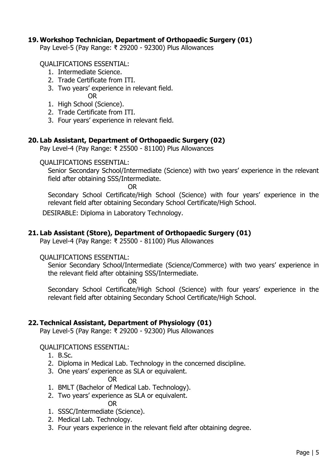## **19. Workshop Technician, Department of Orthopaedic Surgery (01)**

Pay Level-5 (Pay Range: ₹ 29200 - 92300) Plus Allowances

QUALIFICATIONS ESSENTIAL:

- 1. Intermediate Science.
- 2. Trade Certificate from ITI.
- 3. Two years' experience in relevant field.
- OR 1. High School (Science).
- 2. Trade Certificate from ITI.
- 3. Four years" experience in relevant field.

## **20. Lab Assistant, Department of Orthopaedic Surgery (02)**

Pay Level-4 (Pay Range: ₹ 25500 - 81100) Plus Allowances

### QUALIFICATIONS ESSENTIAL:

Senior Secondary School/Intermediate (Science) with two years' experience in the relevant field after obtaining SSS/Intermediate.

OR

Secondary School Certificate/High School (Science) with four years' experience in the relevant field after obtaining Secondary School Certificate/High School.

DESIRABLE: Diploma in Laboratory Technology.

## **21. Lab Assistant (Store), Department of Orthopaedic Surgery (01)**

Pay Level-4 (Pay Range: ₹ 25500 - 81100) Plus Allowances

### QUALIFICATIONS ESSENTIAL:

Senior Secondary School/Intermediate (Science/Commerce) with two years' experience in the relevant field after obtaining SSS/Intermediate.

OR

Secondary School Certificate/High School (Science) with four years' experience in the relevant field after obtaining Secondary School Certificate/High School.

## **22. Technical Assistant, Department of Physiology (01)**

Pay Level-5 (Pay Range: ₹ 29200 - 92300) Plus Allowances

### QUALIFICATIONS ESSENTIAL:

- 1. B.Sc.
- 2. Diploma in Medical Lab. Technology in the concerned discipline.
- 3. One years' experience as SLA or equivalent.

OR

- 1. BMLT (Bachelor of Medical Lab. Technology).
- 2. Two years' experience as SLA or equivalent.

OR

- 1. SSSC/Intermediate (Science).
- 2. Medical Lab. Technology.
- 3. Four years experience in the relevant field after obtaining degree.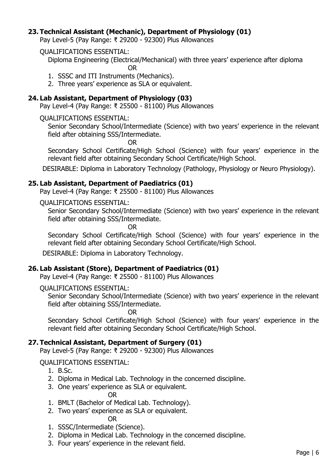## **23. Technical Assistant (Mechanic), Department of Physiology (01)**

Pay Level-5 (Pay Range: ₹ 29200 - 92300) Plus Allowances

## QUALIFICATIONS ESSENTIAL:

Diploma Engineering (Electrical/Mechanical) with three years" experience after diploma OR

- 1. SSSC and ITI Instruments (Mechanics).
- 2. Three years' experience as SLA or equivalent.

## **24. Lab Assistant, Department of Physiology (03)**

Pay Level-4 (Pay Range: ₹ 25500 - 81100) Plus Allowances

### QUALIFICATIONS ESSENTIAL:

Senior Secondary School/Intermediate (Science) with two years' experience in the relevant field after obtaining SSS/Intermediate.

OR

Secondary School Certificate/High School (Science) with four years' experience in the relevant field after obtaining Secondary School Certificate/High School.

DESIRABLE: Diploma in Laboratory Technology (Pathology, Physiology or Neuro Physiology).

### **25. Lab Assistant, Department of Paediatrics (01)**

Pay Level-4 (Pay Range: ₹ 25500 - 81100) Plus Allowances

QUALIFICATIONS ESSENTIAL:

Senior Secondary School/Intermediate (Science) with two years' experience in the relevant field after obtaining SSS/Intermediate.

OR

Secondary School Certificate/High School (Science) with four years' experience in the relevant field after obtaining Secondary School Certificate/High School.

DESIRABLE: Diploma in Laboratory Technology.

## **26. Lab Assistant (Store), Department of Paediatrics (01)**

Pay Level-4 (Pay Range: ₹ 25500 - 81100) Plus Allowances

### QUALIFICATIONS ESSENTIAL:

Senior Secondary School/Intermediate (Science) with two years' experience in the relevant field after obtaining SSS/Intermediate.

OR

Secondary School Certificate/High School (Science) with four years' experience in the relevant field after obtaining Secondary School Certificate/High School.

## **27. Technical Assistant, Department of Surgery (01)**

Pay Level-5 (Pay Range: ₹ 29200 - 92300) Plus Allowances

## QUALIFICATIONS ESSENTIAL:

- 1. B.Sc.
- 2. Diploma in Medical Lab. Technology in the concerned discipline.
- 3. One years' experience as SLA or equivalent.

OR

- 1. BMLT (Bachelor of Medical Lab. Technology).
- 2. Two years' experience as SLA or equivalent.

OR

- 1. SSSC/Intermediate (Science).
- 2. Diploma in Medical Lab. Technology in the concerned discipline.
- 3. Four years" experience in the relevant field.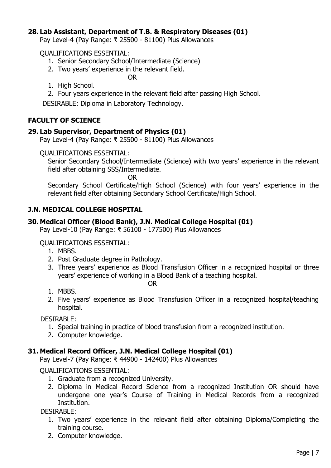## **28. Lab Assistant, Department of T.B. & Respiratory Diseases (01)**

Pay Level-4 (Pay Range: ₹ 25500 - 81100) Plus Allowances

### QUALIFICATIONS ESSENTIAL:

- 1. Senior Secondary School/Intermediate (Science)
- 2. Two years' experience in the relevant field.

OR

- 1. High School.
- 2. Four years experience in the relevant field after passing High School.

DESIRABLE: Diploma in Laboratory Technology.

## **FACULTY OF SCIENCE**

### **29. Lab Supervisor, Department of Physics (01)**

Pay Level-4 (Pay Range: ₹ 25500 - 81100) Plus Allowances

### QUALIFICATIONS ESSENTIAL:

Senior Secondary School/Intermediate (Science) with two years' experience in the relevant field after obtaining SSS/Intermediate.

OR

Secondary School Certificate/High School (Science) with four years' experience in the relevant field after obtaining Secondary School Certificate/High School.

### **J.N. MEDICAL COLLEGE HOSPITAL**

### **30. Medical Officer (Blood Bank), J.N. Medical College Hospital (01)**

Pay Level-10 (Pay Range: ₹ 56100 - 177500) Plus Allowances

### QUALIFICATIONS ESSENTIAL:

- 1. MBBS.
- 2. Post Graduate degree in Pathology.
- 3. Three years" experience as Blood Transfusion Officer in a recognized hospital or three years" experience of working in a Blood Bank of a teaching hospital.

OR

- 1. MBBS.
- 2. Five years" experience as Blood Transfusion Officer in a recognized hospital/teaching hospital.

### DESIRABLE:

- 1. Special training in practice of blood transfusion from a recognized institution.
- 2. Computer knowledge.

### **31. Medical Record Officer, J.N. Medical College Hospital (01)**

Pay Level-7 (Pay Range: ₹ 44900 - 142400) Plus Allowances

QUALIFICATIONS ESSENTIAL:

- 1. Graduate from a recognized University.
- 2. Diploma in Medical Record Science from a recognized Institution OR should have undergone one year"s Course of Training in Medical Records from a recognized Institution.

DESIRABLE:

- 1. Two years" experience in the relevant field after obtaining Diploma/Completing the training course.
- 2. Computer knowledge.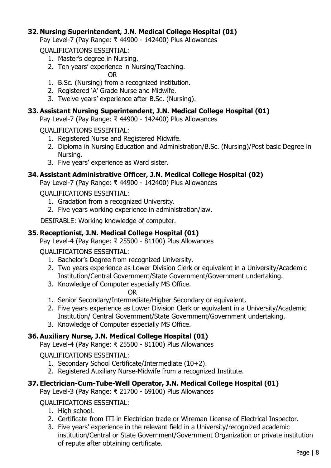## **32. Nursing Superintendent, J.N. Medical College Hospital (01)**

Pay Level-7 (Pay Range: ₹ 44900 - 142400) Plus Allowances

QUALIFICATIONS ESSENTIAL:

- 1. Master"s degree in Nursing.
- 2. Ten years' experience in Nursing/Teaching.

OR

- 1. B.Sc. (Nursing) from a recognized institution.
- 2. Registered "A" Grade Nurse and Midwife.
- 3. Twelve years' experience after B.Sc. (Nursing).

## **33. Assistant Nursing Superintendent, J.N. Medical College Hospital (01)**

Pay Level-7 (Pay Range: ₹ 44900 - 142400) Plus Allowances

QUALIFICATIONS ESSENTIAL:

- 1. Registered Nurse and Registered Midwife.
- 2. Diploma in Nursing Education and Administration/B.Sc. (Nursing)/Post basic Degree in Nursing.
- 3. Five years' experience as Ward sister.

## **34. Assistant Administrative Officer, J.N. Medical College Hospital (02)**

Pay Level-7 (Pay Range: ₹ 44900 - 142400) Plus Allowances

QUALIFICATIONS ESSENTIAL:

- 1. Gradation from a recognized University.
- 2. Five years working experience in administration/law.

DESIRABLE: Working knowledge of computer.

## **35. Receptionist, J.N. Medical College Hospital (01)**

Pay Level-4 (Pay Range: ₹ 25500 - 81100) Plus Allowances

QUALIFICATIONS ESSENTIAL:

- 1. Bachelor"s Degree from recognized University.
- 2. Two years experience as Lower Division Clerk or equivalent in a University/Academic Institution/Central Government/State Government/Government undertaking.
- 3. Knowledge of Computer especially MS Office.

OR

- 1. Senior Secondary/Intermediate/Higher Secondary or equivalent.
- 2. Five years experience as Lower Division Clerk or equivalent in a University/Academic Institution/ Central Government/State Government/Government undertaking.
- 3. Knowledge of Computer especially MS Office.

## **36. Auxiliary Nurse, J.N. Medical College Hospital (01)**

Pay Level-4 (Pay Range: ₹ 25500 - 81100) Plus Allowances

QUALIFICATIONS ESSENTIAL:

- 1. Secondary School Certificate/Intermediate (10+2).
- 2. Registered Auxiliary Nurse-Midwife from a recognized Institute.

# **37. Electrician-Cum-Tube-Well Operator, J.N. Medical College Hospital (01)**

Pay Level-3 (Pay Range: ₹ 21700 - 69100) Plus Allowances

## QUALIFICATIONS ESSENTIAL:

- 1. High school.
- 2. Certificate from ITI in Electrician trade or Wireman License of Electrical Inspector.
- 3. Five years" experience in the relevant field in a University/recognized academic institution/Central or State Government/Government Organization or private institution of repute after obtaining certificate.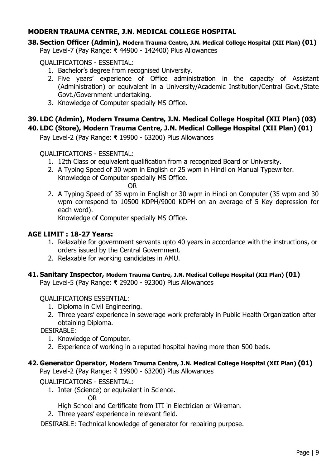## **MODERN TRAUMA CENTRE, J.N. MEDICAL COLLEGE HOSPITAL**

#### **38. Section Officer (Admin), Modern Trauma Centre, J.N. Medical College Hospital (XII Plan) (01)** Pay Level-7 (Pay Range: ₹ 44900 - 142400) Plus Allowances

QUALIFICATIONS - ESSENTIAL:

- 1. Bachelor"s degree from recognised University.
- 2. Five years" experience of Office administration in the capacity of Assistant (Administration) or equivalent in a University/Academic Institution/Central Govt./State Govt./Government undertaking.
- 3. Knowledge of Computer specially MS Office.

## **39. LDC (Admin), Modern Trauma Centre, J.N. Medical College Hospital (XII Plan) (03) 40. LDC (Store), Modern Trauma Centre, J.N. Medical College Hospital (XII Plan) (01)**

Pay Level-2 (Pay Range: ₹ 19900 - 63200) Plus Allowances

QUALIFICATIONS - ESSENTIAL:

- 1. 12th Class or equivalent qualification from a recognized Board or University.
- 2. A Typing Speed of 30 wpm in English or 25 wpm in Hindi on Manual Typewriter. Knowledge of Computer specially MS Office.

OR

2. A Typing Speed of 35 wpm in English or 30 wpm in Hindi on Computer (35 wpm and 30 wpm correspond to 10500 KDPH/9000 KDPH on an average of 5 Key depression for each word).

Knowledge of Computer specially MS Office.

## **AGE LIMIT : 18-27 Years:**

- 1. Relaxable for government servants upto 40 years in accordance with the instructions, or orders issued by the Central Government.
- 2. Relaxable for working candidates in AMU.

# **41. Sanitary Inspector, Modern Trauma Centre, J.N. Medical College Hospital (XII Plan) (01)**

Pay Level-5 (Pay Range: ₹ 29200 - 92300) Plus Allowances

## QUALIFICATIONS ESSENTIAL:

- 1. Diploma in Civil Engineering.
- 2. Three years' experience in sewerage work preferably in Public Health Organization after obtaining Diploma.

DESIRABLE:

- 1. Knowledge of Computer.
- 2. Experience of working in a reputed hospital having more than 500 beds.

## **42. Generator Operator, Modern Trauma Centre, J.N. Medical College Hospital (XII Plan) (01)**

Pay Level-2 (Pay Range: ₹ 19900 - 63200) Plus Allowances

QUALIFICATIONS - ESSENTIAL:

1. Inter (Science) or equivalent in Science.

OR

High School and Certificate from ITI in Electrician or Wireman.

2. Three years' experience in relevant field.

DESIRABLE: Technical knowledge of generator for repairing purpose.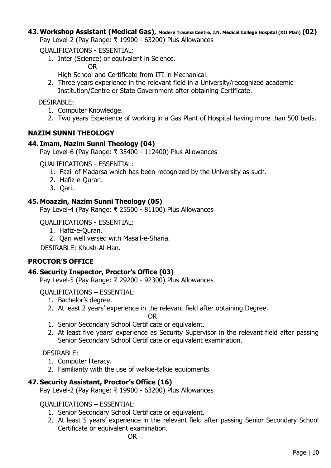#### **43. Workshop Assistant (Medical Gas), Modern Trauma Centre, J.N. Medical College Hospital (XII Plan) (02)** Pay Level-2 (Pay Range: ₹ 19900 - 63200) Plus Allowances

QUALIFICATIONS - ESSENTIAL:

1. Inter (Science) or equivalent in Science.

OR

High School and Certificate from ITI in Mechanical.

2. Three years experience in the relevant field in a University/recognized academic Institution/Centre or State Government after obtaining Certificate.

DESIRABLE:

- 1. Computer Knowledge.
- 2. Two years Experience of working in a Gas Plant of Hospital having more than 500 beds.

## **NAZIM SUNNI THEOLOGY**

## **44. Imam, Nazim Sunni Theology (04)**

Pay Level-6 (Pay Range: ₹ 35400 - 112400) Plus Allowances

QUALIFICATIONS - ESSENTIAL:

- 1. Fazil of Madarsa which has been recognized by the University as such.
- 2. Hafiz-e-Quran.
- 3. Qari.

## **45. Moazzin, Nazim Sunni Theology (05)**

Pay Level-4 (Pay Range: ₹ 25500 - 81100) Plus Allowances

QUALIFICATIONS - ESSENTIAL:

- 1. Hafiz-e-Quran.
- 2. Qari well versed with Masail-e-Sharia.

DESIRABLE: Khush-Al-Han.

## **PROCTOR'S OFFICE**

## **46. Security Inspector, Proctor's Office (03)**

Pay Level-5 (Pay Range: ₹ 29200 - 92300) Plus Allowances

QUALIFICATIONS – ESSENTIAL:

- 1. Bachelor"s degree.
- 2. At least 2 years' experience in the relevant field after obtaining Degree.

OR

- 1. Senior Secondary School Certificate or equivalent.
- 2. At least five years' experience as Security Supervisor in the relevant field after passing Senior Secondary School Certificate or equivalent examination.

DESIRABLE:

- 1. Computer literacy.
- 2. Familiarity with the use of walkie-talkie equipments.

## **47. Security Assistant, Proctor's Office (16)**

Pay Level-2 (Pay Range: ₹ 19900 - 63200) Plus Allowances

## QUALIFICATIONS – ESSENTIAL:

- 1. Senior Secondary School Certificate or equivalent.
- 2. At least 5 years' experience in the relevant field after passing Senior Secondary School Certificate or equivalent examination.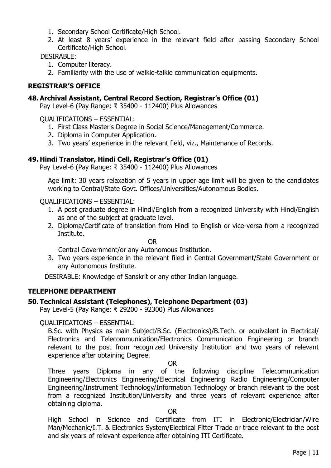- 1. Secondary School Certificate/High School.
- 2. At least 8 years' experience in the relevant field after passing Secondary School Certificate/High School.

## DESIRABLE:

- 1. Computer literacy.
- 2. Familiarity with the use of walkie-talkie communication equipments.

## **REGISTRAR'S OFFICE**

### **48. Archival Assistant, Central Record Section, Registrar's Office (01)**

Pay Level-6 (Pay Range: ₹ 35400 - 112400) Plus Allowances

QUALIFICATIONS – ESSENTIAL:

- 1. First Class Master's Degree in Social Science/Management/Commerce.
- 2. Diploma in Computer Application.
- 3. Two years" experience in the relevant field, viz., Maintenance of Records.

### **49. Hindi Translator, Hindi Cell, Registrar's Office (01)**

Pay Level-6 (Pay Range: ₹ 35400 - 112400) Plus Allowances

Age limit: 30 years relaxation of 5 years in upper age limit will be given to the candidates working to Central/State Govt. Offices/Universities/Autonomous Bodies.

### QUALIFICATIONS – ESSENTIAL:

- 1. A post graduate degree in Hindi/English from a recognized University with Hindi/English as one of the subject at graduate level.
- 2. Diploma/Certificate of translation from Hindi to English or vice-versa from a recognized Institute.

OR

Central Government/or any Autonomous Institution.

3. Two years experience in the relevant filed in Central Government/State Government or any Autonomous Institute.

DESIRABLE: Knowledge of Sanskrit or any other Indian language.

## **TELEPHONE DEPARTMENT**

### **50. Technical Assistant (Telephones), Telephone Department (03)**

Pay Level-5 (Pay Range: ₹ 29200 - 92300) Plus Allowances

### QUALIFICATIONS – ESSENTIAL:

B.Sc. with Physics as main Subject/B.Sc. (Electronics)/B.Tech. or equivalent in Electrical/ Electronics and Telecommunication/Electronics Communication Engineering or branch relevant to the post from recognized University Institution and two years of relevant experience after obtaining Degree.

#### OR

Three years Diploma in any of the following discipline Telecommunication Engineering/Electronics Engineering/Electrical Engineering Radio Engineering/Computer Engineering/Instrument Technology/Information Technology or branch relevant to the post from a recognized Institution/University and three years of relevant experience after obtaining diploma.

### OR

High School in Science and Certificate from ITI in Electronic/Electrician/Wire Man/Mechanic/I.T. & Electronics System/Electrical Fitter Trade or trade relevant to the post and six years of relevant experience after obtaining ITI Certificate.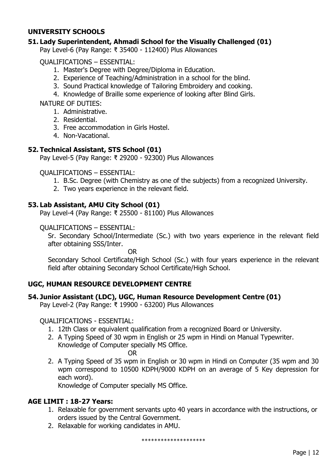## **UNIVERSITY SCHOOLS**

## **51. Lady Superintendent, Ahmadi School for the Visually Challenged (01)**

Pay Level-6 (Pay Range: ₹ 35400 - 112400) Plus Allowances

QUALIFICATIONS – ESSENTIAL:

- 1. Master's Degree with Degree/Diploma in Education.
- 2. Experience of Teaching/Administration in a school for the blind.
- 3. Sound Practical knowledge of Tailoring Embroidery and cooking.
- 4. Knowledge of Braille some experience of looking after Blind Girls.

NATURE OF DUTIES:

- 1. Administrative.
- 2. Residential.
- 3. Free accommodation in Girls Hostel.
- 4. Non-Vacational.

## **52. Technical Assistant, STS School (01)**

Pay Level-5 (Pay Range: ₹ 29200 - 92300) Plus Allowances

QUALIFICATIONS – ESSENTIAL:

- 1. B.Sc. Degree (with Chemistry as one of the subjects) from a recognized University.
- 2. Two years experience in the relevant field.

## **53. Lab Assistant, AMU City School (01)**

Pay Level-4 (Pay Range: ₹ 25500 - 81100) Plus Allowances

### QUALIFICATIONS – ESSENTIAL:

Sr. Secondary School/Intermediate (Sc.) with two years experience in the relevant field after obtaining SSS/Inter.

OR

Secondary School Certificate/High School (Sc.) with four years experience in the relevant field after obtaining Secondary School Certificate/High School.

## **UGC, HUMAN RESOURCE DEVELOPMENT CENTRE**

## **54. Junior Assistant (LDC), UGC, Human Resource Development Centre (01)**

Pay Level-2 (Pay Range: ₹ 19900 - 63200) Plus Allowances

## QUALIFICATIONS - ESSENTIAL:

- 1. 12th Class or equivalent qualification from a recognized Board or University.
- 2. A Typing Speed of 30 wpm in English or 25 wpm in Hindi on Manual Typewriter. Knowledge of Computer specially MS Office.
	- OR
- 2. A Typing Speed of 35 wpm in English or 30 wpm in Hindi on Computer (35 wpm and 30 wpm correspond to 10500 KDPH/9000 KDPH on an average of 5 Key depression for each word).

Knowledge of Computer specially MS Office.

### **AGE LIMIT : 18-27 Years:**

- 1. Relaxable for government servants upto 40 years in accordance with the instructions, or orders issued by the Central Government.
- 2. Relaxable for working candidates in AMU.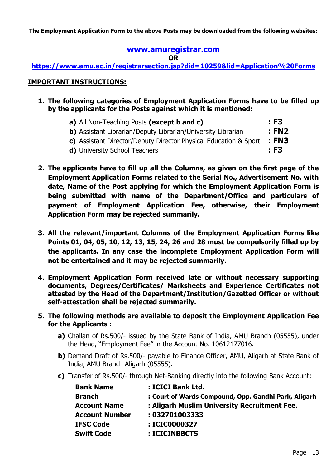**The Employment Application Form to the above Posts may be downloaded from the following websites:**

## **[www.amuregistrar.com](http://www.amuregistrar.com/)**

**OR**

**<https://www.amu.ac.in/registrarsection.jsp?did=10259&lid=Application%20Forms>**

### **IMPORTANT INSTRUCTIONS:**

- **1. The following categories of Employment Application Forms have to be filled up by the applicants for the Posts against which it is mentioned:**
	- **a)** All Non-Teaching Posts **(except b and c) : F3**
	- **b)** Assistant Librarian/Deputy Librarian/University Librarian **: FN2**
	- **c)** Assistant Director/Deputy Director Physical Education & Sport **: FN3**
	- **d)** University School Teachers **: F3**
- **2. The applicants have to fill up all the Columns, as given on the first page of the Employment Application Forms related to the Serial No., Advertisement No. with date, Name of the Post applying for which the Employment Application Form is being submitted with name of the Department/Office and particulars of payment of Employment Application Fee, otherwise, their Employment Application Form may be rejected summarily.**
- **3. All the relevant/important Columns of the Employment Application Forms like Points 01, 04, 05, 10, 12, 13, 15, 24, 26 and 28 must be compulsorily filled up by the applicants. In any case the incomplete Employment Application Form will not be entertained and it may be rejected summarily.**
- **4. Employment Application Form received late or without necessary supporting documents, Degrees/Certificates/ Marksheets and Experience Certificates not attested by the Head of the Department/Institution/Gazetted Officer or without self-attestation shall be rejected summarily.**
- **5. The following methods are available to deposit the Employment Application Fee for the Applicants :**
	- **a)** Challan of Rs.500/- issued by the State Bank of India, AMU Branch (05555), under the Head, "Employment Fee" in the Account No. 10612177016.
	- **b)** Demand Draft of Rs.500/- payable to Finance Officer, AMU, Aligarh at State Bank of India, AMU Branch Aligarh (05555).
	- **c)** Transfer of Rs.500/- through Net-Banking directly into the following Bank Account:

| <b>Bank Name</b>      | : ICICI Bank Ltd.                                    |
|-----------------------|------------------------------------------------------|
| <b>Branch</b>         | : Court of Wards Compound, Opp. Gandhi Park, Aligarh |
| <b>Account Name</b>   | : Aligarh Muslim University Recruitment Fee.         |
| <b>Account Number</b> | : 032701003333                                       |
| <b>IFSC Code</b>      | : ICIC0000327                                        |
| <b>Swift Code</b>     | : ICICINBBCTS                                        |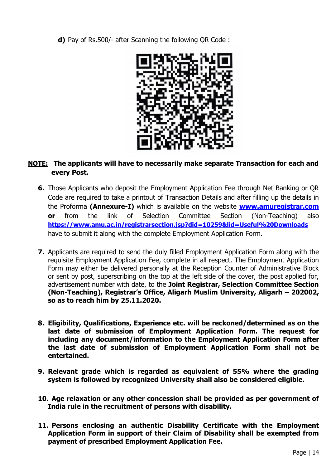**d)** Pay of Rs.500/- after Scanning the following QR Code :



## **NOTE: The applicants will have to necessarily make separate Transaction for each and every Post.**

- **6.** Those Applicants who deposit the Employment Application Fee through Net Banking or QR Code are required to take a printout of Transaction Details and after filling up the details in the Proforma **(Annexure-I)** which is available on the website **[www.amuregistrar.com](http://www.amuregistrar.com/) or** from the link of Selection Committee Section (Non-Teaching) also **<https://www.amu.ac.in/registrarsection.jsp?did=10259&lid=Useful%20Downloads>** have to submit it along with the complete Employment Application Form.
- **7.** Applicants are required to send the duly filled Employment Application Form along with the requisite Employment Application Fee, complete in all respect. The Employment Application Form may either be delivered personally at the Reception Counter of Administrative Block or sent by post, superscribing on the top at the left side of the cover, the post applied for, advertisement number with date, to the **Joint Registrar, Selection Committee Section (Non-Teaching), Registrar's Office, Aligarh Muslim University, Aligarh – 202002, so as to reach him by 25.11.2020.**
- **8. Eligibility, Qualifications, Experience etc. will be reckoned/determined as on the last date of submission of Employment Application Form. The request for including any document/information to the Employment Application Form after the last date of submission of Employment Application Form shall not be entertained.**
- **9. Relevant grade which is regarded as equivalent of 55% where the grading system is followed by recognized University shall also be considered eligible.**
- **10. Age relaxation or any other concession shall be provided as per government of India rule in the recruitment of persons with disability.**
- **11. Persons enclosing an authentic Disability Certificate with the Employment Application Form in support of their Claim of Disability shall be exempted from payment of prescribed Employment Application Fee.**